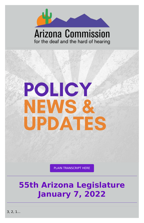

### **Arizona Commission** for the deaf and the hard of hearing



#### PLAIN [TRANSCRIPT](https://d1a8dioxuajlzs.cloudfront.net/accounts/16570/original/Policy%2520Alert%252001.07.22.pdf?1641594262) HERE

## **55th Arizona Legislature January 7, 2022**

3, 2, 1...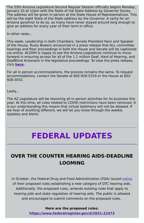The 55th Arizona Legislature-Second Regular Session officially begins Monday, January 10 at 12pm with the State of the State Address by Governor Ducey. The address will be given in person at the State House of Representatives. This will be the eight State of the State address by the Governor. A rarity for an Arizona governor to do so, as many have never stayed around long enough to give an address for every year of their term in office.

In other news...

This week, Leadership in both Chambers, Senate President Fann and Speaker of the House, Rusty Bowers announced in a press release that ALL committee hearings and floor proceedings in both the House and Senate will be captioned via online. ACDHH is happy to see the Arizona Legislature continue to move forward in ensuring access for all of the 1.1 million Deaf, Hard of Hearing, and DeafBlind Arizonans in the legislative proceedings. To view the press release, click **[here.](https://www.azleg.gov/press/house/55LEG/2R/220105CAPTIONING.pdf)**

In October, the Federal Drug and Food Administration (FDA) issued [notice](https://www.fda.gov/news-events/press-announcements/fda-issues-landmark-proposal-improve-access-hearing-aid-technology-millions-americans) of their proposed rules establishing a new category of OTC hearing aids. Additionally, the proposed rules, amends existing rules that apply to hearing aids and state regulation of hearing aids. The public is allowed and encouraged to submit comments on the proposed rules.

For all in person accommodations, the process remains the same. To request accommodations, contact the Senate at 602-926-5319 or the House at 602- 926-3032.

Lastly...

The AZ Legislature will be resuming all in person activities for its business this year. At this time, all rules related to COVID restrictions have been removed. It is our understanding this means that virtual testimony will not be allowed. If we hear of anything different, we will let you know through the weekly Updates and Alerts.

## **FEDERAL UPDATES**

### **OVER THE COUNTER HEARING AIDS-DEADLINE LOOMING**

**Here are the proposed rules:**

**<https://www.federalregister.gov/d/2021-22473>**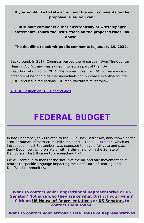#### **If you would like to take action and file your comments on the proposed rules, you can!**

### **To submit comments either electronically or written/paper statements, follow the instructions on the proposed rules link above.**

#### **The deadline to submit public comments is January 18, 2022.**

Background: In 2017, Congress passed the bi-partisan Over-The-Counter Hearing Aid Act and was signed into law as part of the FDA Reauthorization Act of 2017. The law requires the FDA to create a new category of hearing aids that individuals can purchase over-the-counter (OTC) and issue regulations OTC manufacturers must follow.

ACDHH Position on OTC [Hearing](https://www.acdhh.org/media/1047/otc-hearing-aids-acdhh-board-position-paper-final-adopted-5-11-17.pdf) Aids

# **FEDERAL BUDGET**

In late December, talks related to the Build Back Better Act, also known as the "soft or human infrastructure" bill "imploded". The bill, HR [5376](https://www.congress.gov/bill/117th-congress/house-bill/5376?q=%7B%22search%22%3A%5B%22HR5376%22%2C%22HR5376%22%5D%7D&s=4&r=1) which as introduced in last September, was expected to have a full vote and pass in early December. Unfortunately, with a slim majority in the Senate of Democrats, the bill came to a screeching halt.

We will continue to monitor the status of the bill and any movement as it relates to specific language impacting the Deaf, Hard of Hearing, and DeafBlind communities.

#### **Want to contact your Congressional Representative or US Senator? Not sure who they are or what District you live in? Click on US House of [Representatives](https://www.house.gov/representatives/find-your-representative) or US [Senators](https://www.senate.gov/senators/senators-contact.htm) to contact them today!**

**Want to contact your Arizona State House of Representatives**